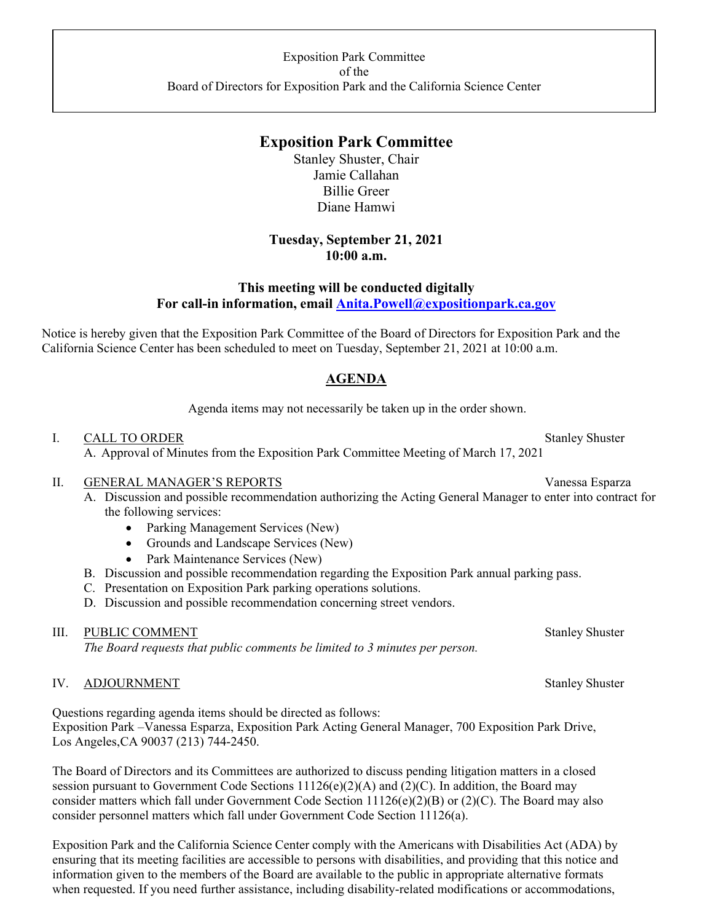# **Exposition Park Committee**

Stanley Shuster, Chair Jamie Callahan Billie Greer Diane Hamwi

## **Tuesday, September 21, 2021 10:00 a.m.**

## **This meeting will be conducted digitally For call-in information, email Anita.Powell@expositionpark.ca.gov**

Notice is hereby given that the Exposition Park Committee of the Board of Directors for Exposition Park and the California Science Center has been scheduled to meet on Tuesday, September 21, 2021 at 10:00 a.m.

## **AGENDA**

Agenda items may not necessarily be taken up in the order shown.

#### I. CALL TO ORDER Stanley Shuster

A. Approval of Minutes from the Exposition Park Committee Meeting of March 17, 2021

#### II. GENERAL MANAGER'S REPORTS Vanessa Esparza

- A. Discussion and possible recommendation authorizing the Acting General Manager to enter into contract for the following services:
	- Parking Management Services (New)
	- Grounds and Landscape Services (New)
	- Park Maintenance Services (New)
- B. Discussion and possible recommendation regarding the Exposition Park annual parking pass.
- C. Presentation on Exposition Park parking operations solutions.
- D. Discussion and possible recommendation concerning street vendors.

## III. PUBLIC COMMENT Stanley Shuster

*The Board requests that public comments be limited to 3 minutes per person.* 

## IV. ADJOURNMENT Stanley Shuster

Questions regarding agenda items should be directed as follows: Exposition Park –Vanessa Esparza, Exposition Park Acting General Manager, 700 Exposition Park Drive, Los Angeles, CA 90037 (213) 744-2450.

The Board of Directors and its Committees are authorized to discuss pending litigation matters in a closed session pursuant to Government Code Sections 11126(e)(2)(A) and (2)(C). In addition, the Board may consider matters which fall under Government Code Section 11126(e)(2)(B) or (2)(C). The Board may also consider personnel matters which fall under Government Code Section 11126(a).

Exposition Park and the California Science Center comply with the Americans with Disabilities Act (ADA) by ensuring that its meeting facilities are accessible to persons with disabilities, and providing that this notice and information given to the members of the Board are available to the public in appropriate alternative formats when requested. If you need further assistance, including disability-related modifications or accommodations,